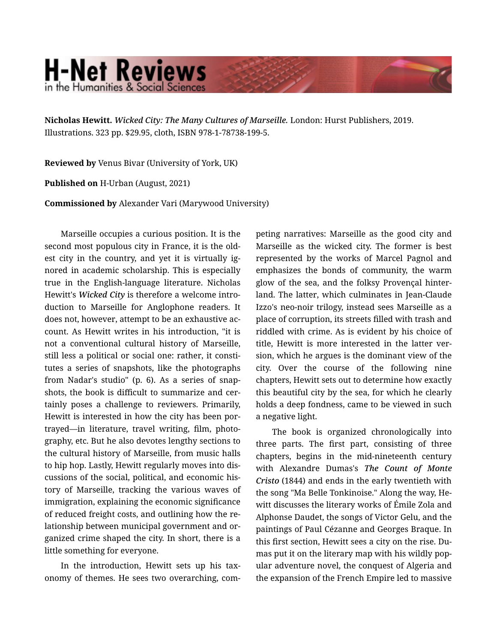## **H-Net Reviews** in the Humanities & Social Scienc

Nicholas Hewitt. *Wicked City: The Many Cultures of Marseille.* London: Hurst Publishers, 2019. Illustrations. 323 pp. \$29.95, cloth, ISBN 978-1-78738-199-5.

Reviewed by Venus Bivar (University of York, UK)

Published on H-Urban (August, 2021)

Commissioned by Alexander Vari (Marywood University)

Marseille occupies a curious position. It is the second most populous city in France, it is the old‐ est city in the country, and yet it is virtually ig‐ nored in academic scholarship. This is especially true in the English-language literature. Nicholas Hewitt's *Wicked City* is therefore a welcome intro‐ duction to Marseille for Anglophone readers. It does not, however, attempt to be an exhaustive ac‐ count. As Hewitt writes in his introduction, "it is not a conventional cultural history of Marseille, still less a political or social one: rather, it consti‐ tutes a series of snapshots, like the photographs from Nadar's studio" (p. 6). As a series of snap‐ shots, the book is difficult to summarize and cer‐ tainly poses a challenge to reviewers. Primarily, Hewitt is interested in how the city has been por‐ trayed—in literature, travel writing, film, photo‐ graphy, etc. But he also devotes lengthy sections to the cultural history of Marseille, from music halls to hip hop. Lastly, Hewitt regularly moves into dis‐ cussions of the social, political, and economic his‐ tory of Marseille, tracking the various waves of immigration, explaining the economic significance of reduced freight costs, and outlining how the re‐ lationship between municipal government and or‐ ganized crime shaped the city. In short, there is a little something for everyone.

In the introduction, Hewitt sets up his tax‐ onomy of themes. He sees two overarching, com‐ peting narratives: Marseille as the good city and Marseille as the wicked city. The former is best represented by the works of Marcel Pagnol and emphasizes the bonds of community, the warm glow of the sea, and the folksy Provençal hinter‐ land. The latter, which culminates in Jean-Claude Izzo's neo-noir trilogy, instead sees Marseille as a place of corruption, its streets filled with trash and riddled with crime. As is evident by his choice of title, Hewitt is more interested in the latter ver‐ sion, which he argues is the dominant view of the city. Over the course of the following nine chapters, Hewitt sets out to determine how exactly this beautiful city by the sea, for which he clearly holds a deep fondness, came to be viewed in such a negative light.

The book is organized chronologically into three parts. The first part, consisting of three chapters, begins in the mid-nineteenth century with Alexandre Dumas's *The Count of Monte Cristo* (1844) and ends in the early twentieth with the song "Ma Belle Tonkinoise." Along the way, He‐ witt discusses the literary works of Émile Zola and Alphonse Daudet, the songs of Victor Gelu, and the paintings of Paul Cézanne and Georges Braque. In this first section, Hewitt sees a city on the rise. Du‐ mas put it on the literary map with his wildly pop‐ ular adventure novel, the conquest of Algeria and the expansion of the French Empire led to massive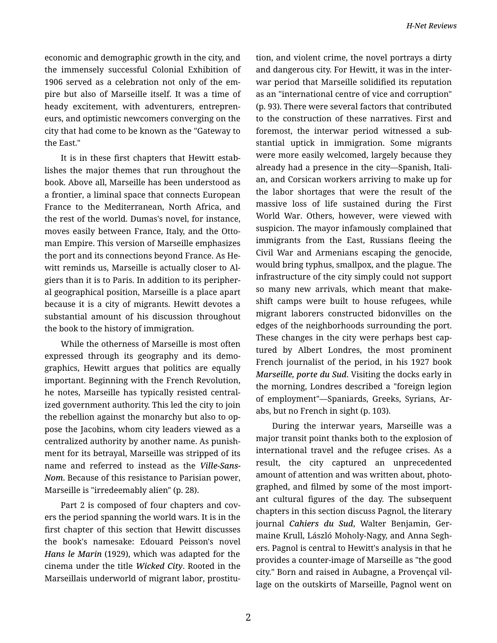economic and demographic growth in the city, and the immensely successful Colonial Exhibition of 1906 served as a celebration not only of the em‐ pire but also of Marseille itself. It was a time of heady excitement, with adventurers, entrepren‐ eurs, and optimistic newcomers converging on the city that had come to be known as the "Gateway to the East."

It is in these first chapters that Hewitt estab‐ lishes the major themes that run throughout the book. Above all, Marseille has been understood as a frontier, a liminal space that connects European France to the Mediterranean, North Africa, and the rest of the world. Dumas's novel, for instance, moves easily between France, Italy, and the Otto‐ man Empire. This version of Marseille emphasizes the port and its connections beyond France. As He‐ witt reminds us, Marseille is actually closer to Al‐ giers than it is to Paris. In addition to its peripher‐ al geographical position, Marseille is a place apart because it is a city of migrants. Hewitt devotes a substantial amount of his discussion throughout the book to the history of immigration.

While the otherness of Marseille is most often expressed through its geography and its demo‐ graphics, Hewitt argues that politics are equally important. Beginning with the French Revolution, he notes, Marseille has typically resisted central‐ ized government authority. This led the city to join the rebellion against the monarchy but also to op‐ pose the Jacobins, whom city leaders viewed as a centralized authority by another name. As punish‐ ment for its betrayal, Marseille was stripped of its name and referred to instead as the *Ville-Sans-Nom*. Because of this resistance to Parisian power, Marseille is "irredeemably alien" (p. 28).

Part 2 is composed of four chapters and covers the period spanning the world wars. It is in the first chapter of this section that Hewitt discusses the book's namesake: Edouard Peisson's novel *Hans le Marin* (1929), which was adapted for the cinema under the title *Wicked City*. Rooted in the Marseillais underworld of migrant labor, prostitu‐ tion, and violent crime, the novel portrays a dirty and dangerous city. For Hewitt, it was in the inter‐ war period that Marseille solidified its reputation as an "international centre of vice and corruption" (p. 93). There were several factors that contributed to the construction of these narratives. First and foremost, the interwar period witnessed a sub‐ stantial uptick in immigration. Some migrants were more easily welcomed, largely because they already had a presence in the city—Spanish, Itali‐ an, and Corsican workers arriving to make up for the labor shortages that were the result of the massive loss of life sustained during the First World War. Others, however, were viewed with suspicion. The mayor infamously complained that immigrants from the East, Russians fleeing the Civil War and Armenians escaping the genocide, would bring typhus, smallpox, and the plague. The infrastructure of the city simply could not support so many new arrivals, which meant that make‐ shift camps were built to house refugees, while migrant laborers constructed bidonvilles on the edges of the neighborhoods surrounding the port. These changes in the city were perhaps best cap‐ tured by Albert Londres, the most prominent French journalist of the period, in his 1927 book *Marseille, porte du Sud*. Visiting the docks early in the morning, Londres described a "foreign legion of employment"—Spaniards, Greeks, Syrians, Ar‐ abs, but no French in sight (p. 103).

During the interwar years, Marseille was a major transit point thanks both to the explosion of international travel and the refugee crises. As a result, the city captured an unprecedented amount of attention and was written about, photo‐ graphed, and filmed by some of the most import‐ ant cultural figures of the day. The subsequent chapters in this section discuss Pagnol, the literary journal *Cahiers du Sud*, Walter Benjamin, Ger‐ maine Krull, László Moholy-Nagy, and Anna Segh‐ ers. Pagnol is central to Hewitt's analysis in that he provides a counter-image of Marseille as "the good city." Born and raised in Aubagne, a Provençal vil‐ lage on the outskirts of Marseille, Pagnol went on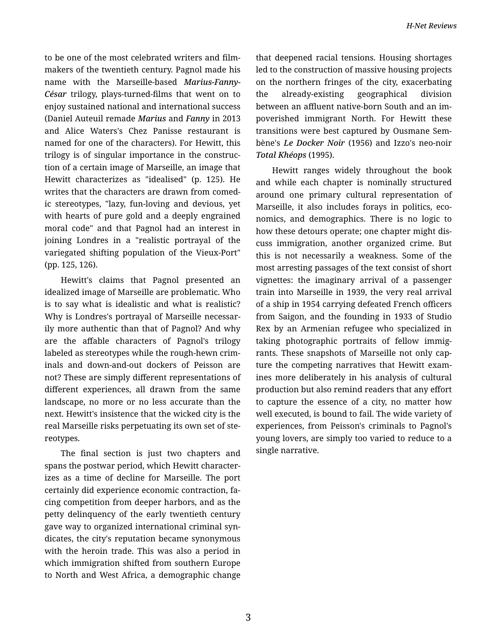to be one of the most celebrated writers and film‐ makers of the twentieth century. Pagnol made his name with the Marseille-based *Marius-Fanny-César* trilogy, plays-turned-films that went on to enjoy sustained national and international success (Daniel Auteuil remade *Marius* and *Fanny* in 2013 and Alice Waters's Chez Panisse restaurant is named for one of the characters). For Hewitt, this trilogy is of singular importance in the construc‐ tion of a certain image of Marseille, an image that Hewitt characterizes as "idealised" (p. 125). He writes that the characters are drawn from comed‐ ic stereotypes, "lazy, fun-loving and devious, yet with hearts of pure gold and a deeply engrained moral code" and that Pagnol had an interest in joining Londres in a "realistic portrayal of the variegated shifting population of the Vieux-Port" (pp. 125, 126).

Hewitt's claims that Pagnol presented an idealized image of Marseille are problematic. Who is to say what is idealistic and what is realistic? Why is Londres's portrayal of Marseille necessar‐ ily more authentic than that of Pagnol? And why are the affable characters of Pagnol's trilogy labeled as stereotypes while the rough-hewn crim‐ inals and down-and-out dockers of Peisson are not? These are simply different representations of different experiences, all drawn from the same landscape, no more or no less accurate than the next. Hewitt's insistence that the wicked city is the real Marseille risks perpetuating its own set of ste‐ reotypes.

The final section is just two chapters and spans the postwar period, which Hewitt character‐ izes as a time of decline for Marseille. The port certainly did experience economic contraction, fa‐ cing competition from deeper harbors, and as the petty delinquency of the early twentieth century gave way to organized international criminal syn‐ dicates, the city's reputation became synonymous with the heroin trade. This was also a period in which immigration shifted from southern Europe to North and West Africa, a demographic change that deepened racial tensions. Housing shortages led to the construction of massive housing projects on the northern fringes of the city, exacerbating the already-existing geographical division between an affluent native-born South and an im‐ poverished immigrant North. For Hewitt these transitions were best captured by Ousmane Sem‐ bène's *Le Docker Noir* (1956) and Izzo's neo-noir *Total Khéops* (1995).

Hewitt ranges widely throughout the book and while each chapter is nominally structured around one primary cultural representation of Marseille, it also includes forays in politics, eco‐ nomics, and demographics. There is no logic to how these detours operate; one chapter might dis‐ cuss immigration, another organized crime. But this is not necessarily a weakness. Some of the most arresting passages of the text consist of short vignettes: the imaginary arrival of a passenger train into Marseille in 1939, the very real arrival of a ship in 1954 carrying defeated French officers from Saigon, and the founding in 1933 of Studio Rex by an Armenian refugee who specialized in taking photographic portraits of fellow immigrants. These snapshots of Marseille not only cap‐ ture the competing narratives that Hewitt exam‐ ines more deliberately in his analysis of cultural production but also remind readers that any effort to capture the essence of a city, no matter how well executed, is bound to fail. The wide variety of experiences, from Peisson's criminals to Pagnol's young lovers, are simply too varied to reduce to a single narrative.